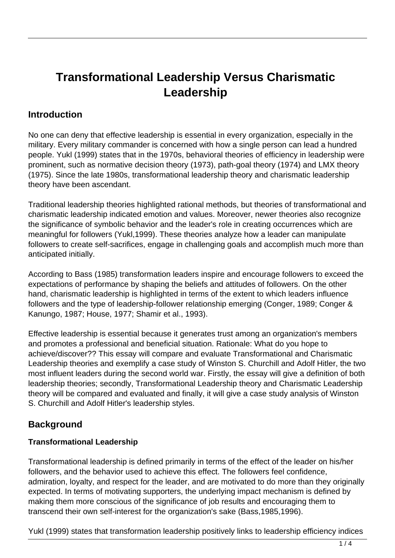# **Transformational Leadership Versus Charismatic Leadership**

### **Introduction**

No one can deny that effective leadership is essential in every organization, especially in the military. Every military commander is concerned with how a single person can lead a hundred people. Yukl (1999) states that in the 1970s, behavioral theories of efficiency in leadership were prominent, such as normative decision theory (1973), path-goal theory (1974) and LMX theory (1975). Since the late 1980s, transformational leadership theory and charismatic leadership theory have been ascendant.

Traditional leadership theories highlighted rational methods, but theories of transformational and charismatic leadership indicated emotion and values. Moreover, newer theories also recognize the significance of symbolic behavior and the leader's role in creating occurrences which are meaningful for followers (Yukl,1999). These theories analyze how a leader can manipulate followers to create self-sacrifices, engage in challenging goals and accomplish much more than anticipated initially.

According to Bass (1985) transformation leaders inspire and encourage followers to exceed the expectations of performance by shaping the beliefs and attitudes of followers. On the other hand, charismatic leadership is highlighted in terms of the extent to which leaders influence followers and the type of leadership-follower relationship emerging (Conger, 1989; Conger & Kanungo, 1987; House, 1977; Shamir et al., 1993).

Effective leadership is essential because it generates trust among an organization's members and promotes a professional and beneficial situation. Rationale: What do you hope to achieve/discover?? This essay will compare and evaluate Transformational and Charismatic Leadership theories and exemplify a case study of Winston S. Churchill and Adolf Hitler, the two most influent leaders during the second world war. Firstly, the essay will give a definition of both leadership theories; secondly, Transformational Leadership theory and Charismatic Leadership theory will be compared and evaluated and finally, it will give a case study analysis of Winston S. Churchill and Adolf Hitler's leadership styles.

## **Background**

#### **Transformational Leadership**

Transformational leadership is defined primarily in terms of the effect of the leader on his/her followers, and the behavior used to achieve this effect. The followers feel confidence, admiration, loyalty, and respect for the leader, and are motivated to do more than they originally expected. In terms of motivating supporters, the underlying impact mechanism is defined by making them more conscious of the significance of job results and encouraging them to transcend their own self-interest for the organization's sake (Bass,1985,1996).

Yukl (1999) states that transformation leadership positively links to leadership efficiency indices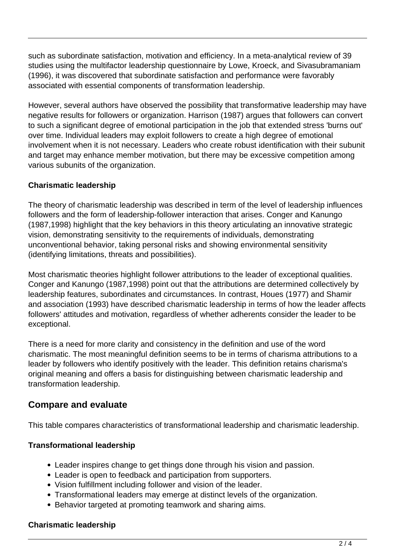such as subordinate satisfaction, motivation and efficiency. In a meta-analytical review of 39 studies using the multifactor leadership questionnaire by Lowe, Kroeck, and Sivasubramaniam (1996), it was discovered that subordinate satisfaction and performance were favorably associated with essential components of transformation leadership.

However, several authors have observed the possibility that transformative leadership may have negative results for followers or organization. Harrison (1987) argues that followers can convert to such a significant degree of emotional participation in the job that extended stress 'burns out' over time. Individual leaders may exploit followers to create a high degree of emotional involvement when it is not necessary. Leaders who create robust identification with their subunit and target may enhance member motivation, but there may be excessive competition among various subunits of the organization.

#### **Charismatic leadership**

The theory of charismatic leadership was described in term of the level of leadership influences followers and the form of leadership-follower interaction that arises. Conger and Kanungo (1987,1998) highlight that the key behaviors in this theory articulating an innovative strategic vision, demonstrating sensitivity to the requirements of individuals, demonstrating unconventional behavior, taking personal risks and showing environmental sensitivity (identifying limitations, threats and possibilities).

Most charismatic theories highlight follower attributions to the leader of exceptional qualities. Conger and Kanungo (1987,1998) point out that the attributions are determined collectively by leadership features, subordinates and circumstances. In contrast, Houes (1977) and Shamir and association (1993) have described charismatic leadership in terms of how the leader affects followers' attitudes and motivation, regardless of whether adherents consider the leader to be exceptional.

There is a need for more clarity and consistency in the definition and use of the word charismatic. The most meaningful definition seems to be in terms of charisma attributions to a leader by followers who identify positively with the leader. This definition retains charisma's original meaning and offers a basis for distinguishing between charismatic leadership and transformation leadership.

## **Compare and evaluate**

This table compares characteristics of transformational leadership and charismatic leadership.

#### **Transformational leadership**

- Leader inspires change to get things done through his vision and passion.
- Leader is open to feedback and participation from supporters.
- Vision fulfillment including follower and vision of the leader.
- Transformational leaders may emerge at distinct levels of the organization.
- Behavior targeted at promoting teamwork and sharing aims.

#### **Charismatic leadership**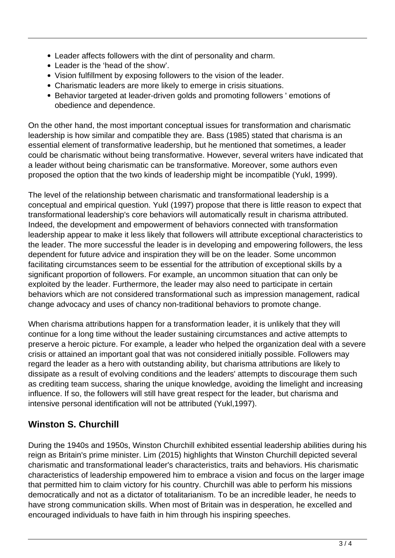- Leader affects followers with the dint of personality and charm.
- Leader is the 'head of the show'.
- Vision fulfillment by exposing followers to the vision of the leader.
- Charismatic leaders are more likely to emerge in crisis situations.
- Behavior targeted at leader-driven golds and promoting followers ' emotions of obedience and dependence.

On the other hand, the most important conceptual issues for transformation and charismatic leadership is how similar and compatible they are. Bass (1985) stated that charisma is an essential element of transformative leadership, but he mentioned that sometimes, a leader could be charismatic without being transformative. However, several writers have indicated that a leader without being charismatic can be transformative. Moreover, some authors even proposed the option that the two kinds of leadership might be incompatible (Yukl, 1999).

The level of the relationship between charismatic and transformational leadership is a conceptual and empirical question. Yukl (1997) propose that there is little reason to expect that transformational leadership's core behaviors will automatically result in charisma attributed. Indeed, the development and empowerment of behaviors connected with transformation leadership appear to make it less likely that followers will attribute exceptional characteristics to the leader. The more successful the leader is in developing and empowering followers, the less dependent for future advice and inspiration they will be on the leader. Some uncommon facilitating circumstances seem to be essential for the attribution of exceptional skills by a significant proportion of followers. For example, an uncommon situation that can only be exploited by the leader. Furthermore, the leader may also need to participate in certain behaviors which are not considered transformational such as impression management, radical change advocacy and uses of chancy non-traditional behaviors to promote change.

When charisma attributions happen for a transformation leader, it is unlikely that they will continue for a long time without the leader sustaining circumstances and active attempts to preserve a heroic picture. For example, a leader who helped the organization deal with a severe crisis or attained an important goal that was not considered initially possible. Followers may regard the leader as a hero with outstanding ability, but charisma attributions are likely to dissipate as a result of evolving conditions and the leaders' attempts to discourage them such as crediting team success, sharing the unique knowledge, avoiding the limelight and increasing influence. If so, the followers will still have great respect for the leader, but charisma and intensive personal identification will not be attributed (Yukl,1997).

## **Winston S. Churchill**

During the 1940s and 1950s, Winston Churchill exhibited essential leadership abilities during his reign as Britain's prime minister. Lim (2015) highlights that Winston Churchill depicted several charismatic and transformational leader's characteristics, traits and behaviors. His charismatic characteristics of leadership empowered him to embrace a vision and focus on the larger image that permitted him to claim victory for his country. Churchill was able to perform his missions democratically and not as a dictator of totalitarianism. To be an incredible leader, he needs to have strong communication skills. When most of Britain was in desperation, he excelled and encouraged individuals to have faith in him through his inspiring speeches.